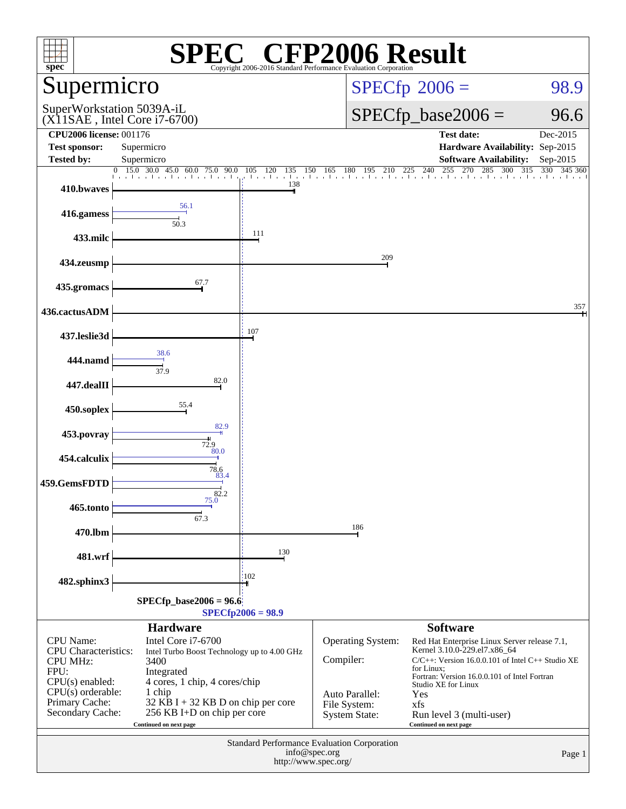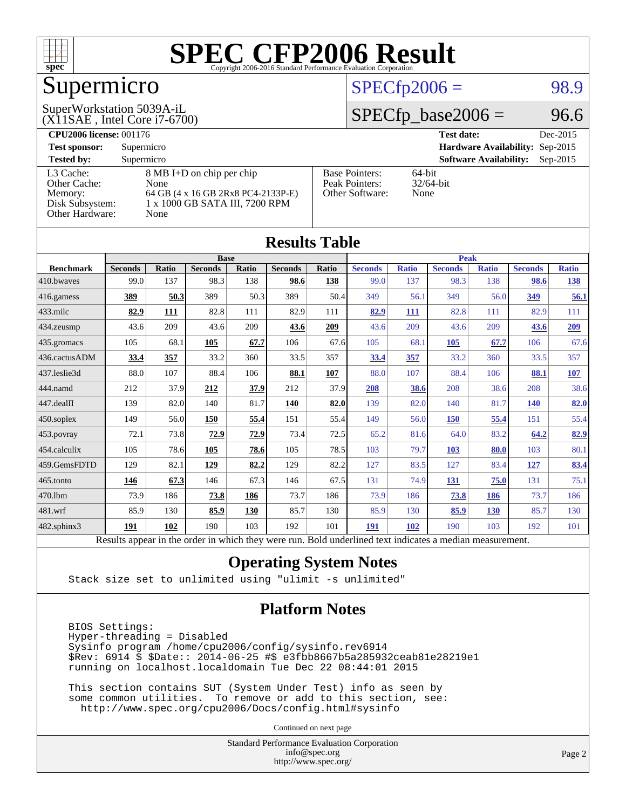

## Supermicro

### $SPECTp2006 = 98.9$

#### (X11SAE , Intel Core i7-6700) SuperWorkstation 5039A-iL

 $SPECfp\_base2006 = 96.6$ 

| <b>CPU2006 license: 001176</b> |                                    |                       | <b>Test date:</b><br>Dec-2015               |
|--------------------------------|------------------------------------|-----------------------|---------------------------------------------|
| <b>Test sponsor:</b>           | Supermicro                         |                       | <b>Hardware Availability: Sep-2015</b>      |
| <b>Tested by:</b>              | Supermicro                         |                       | <b>Software Availability:</b><br>$Sep-2015$ |
| L3 Cache:                      | 8 MB I+D on chip per chip          | <b>Base Pointers:</b> | $64$ -bit                                   |
| Other Cache:                   | None                               | Peak Pointers:        | $32/64$ -bit                                |
| Memory:                        | 64 GB (4 x 16 GB 2Rx8 PC4-2133P-E) | Other Software:       | None                                        |
| Disk Subsystem:                | 1 x 1000 GB SATA III, 7200 RPM     |                       |                                             |
| Other Hardware:                | None                               |                       |                                             |

**[Results Table](http://www.spec.org/auto/cpu2006/Docs/result-fields.html#ResultsTable)**

| Results Table                                                                                            |                |       |                |       |                |       |                |              |                |              |                |              |
|----------------------------------------------------------------------------------------------------------|----------------|-------|----------------|-------|----------------|-------|----------------|--------------|----------------|--------------|----------------|--------------|
|                                                                                                          |                |       | <b>Base</b>    |       |                |       | <b>Peak</b>    |              |                |              |                |              |
| <b>Benchmark</b>                                                                                         | <b>Seconds</b> | Ratio | <b>Seconds</b> | Ratio | <b>Seconds</b> | Ratio | <b>Seconds</b> | <b>Ratio</b> | <b>Seconds</b> | <b>Ratio</b> | <b>Seconds</b> | <b>Ratio</b> |
| 410.bwaves                                                                                               | 99.0           | 137   | 98.3           | 138   | 98.6           | 138   | 99.0           | 137          | 98.3           | 138          | 98.6           | <u>138</u>   |
| 416.gamess                                                                                               | 389            | 50.3  | 389            | 50.3  | 389            | 50.4  | 349            | 56.1         | 349            | 56.0         | 349            | 56.1         |
| 433.milc                                                                                                 | 82.9           | 111   | 82.8           | 111   | 82.9           | 111   | 82.9           | 111          | 82.8           | 111          | 82.9           | 111          |
| 434.zeusmp                                                                                               | 43.6           | 209   | 43.6           | 209   | 43.6           | 209   | 43.6           | 209          | 43.6           | 209          | 43.6           | 209          |
| 435.gromacs                                                                                              | 105            | 68.1  | 105            | 67.7  | 106            | 67.6  | 105            | 68.1         | 105            | 67.7         | 106            | 67.6         |
| 436.cactusADM                                                                                            | 33.4           | 357   | 33.2           | 360   | 33.5           | 357   | 33.4           | 357          | 33.2           | 360          | 33.5           | 357          |
| 437.leslie3d                                                                                             | 88.0           | 107   | 88.4           | 106   | 88.1           | 107   | 88.0           | 107          | 88.4           | 106          | 88.1           | <b>107</b>   |
| 444.namd                                                                                                 | 212            | 37.9  | 212            | 37.9  | 212            | 37.9  | 208            | 38.6         | 208            | 38.6         | 208            | 38.6         |
| 447.dealII                                                                                               | 139            | 82.0  | 140            | 81.7  | <b>140</b>     | 82.0  | 139            | 82.0         | 140            | 81.7         | <b>140</b>     | 82.0         |
| 450.soplex                                                                                               | 149            | 56.0  | 150            | 55.4  | 151            | 55.4  | 149            | 56.0         | <b>150</b>     | 55.4         | 151            | 55.4         |
| 453.povray                                                                                               | 72.1           | 73.8  | 72.9           | 72.9  | 73.4           | 72.5  | 65.2           | 81.6         | 64.0           | 83.2         | 64.2           | 82.9         |
| 454.calculix                                                                                             | 105            | 78.6  | 105            | 78.6  | 105            | 78.5  | 103            | 79.7         | 103            | 80.0         | 103            | 80.1         |
| 459.GemsFDTD                                                                                             | 129            | 82.1  | 129            | 82.2  | 129            | 82.2  | 127            | 83.5         | 127            | 83.4         | 127            | 83.4         |
| 465.tonto                                                                                                | 146            | 67.3  | 146            | 67.3  | 146            | 67.5  | 131            | 74.9         | 131            | 75.0         | 131            | 75.1         |
| 470.1bm                                                                                                  | 73.9           | 186   | 73.8           | 186   | 73.7           | 186   | 73.9           | 186          | 73.8           | 186          | 73.7           | 186          |
| 481.wrf                                                                                                  | 85.9           | 130   | 85.9           | 130   | 85.7           | 130   | 85.9           | 130          | 85.9           | <b>130</b>   | 85.7           | 130          |
| 482.sphinx3                                                                                              | 191            | 102   | 190            | 103   | 192            | 101   | 191            | 102          | 190            | 103          | 192            | 101          |
| Results appear in the order in which they were run. Bold underlined text indicates a median measurement. |                |       |                |       |                |       |                |              |                |              |                |              |

#### **[Operating System Notes](http://www.spec.org/auto/cpu2006/Docs/result-fields.html#OperatingSystemNotes)**

Stack size set to unlimited using "ulimit -s unlimited"

#### **[Platform Notes](http://www.spec.org/auto/cpu2006/Docs/result-fields.html#PlatformNotes)**

 BIOS Settings: Hyper-threading = Disabled Sysinfo program /home/cpu2006/config/sysinfo.rev6914 \$Rev: 6914 \$ \$Date:: 2014-06-25 #\$ e3fbb8667b5a285932ceab81e28219e1 running on localhost.localdomain Tue Dec 22 08:44:01 2015

 This section contains SUT (System Under Test) info as seen by some common utilities. To remove or add to this section, see: <http://www.spec.org/cpu2006/Docs/config.html#sysinfo>

Continued on next page

Standard Performance Evaluation Corporation [info@spec.org](mailto:info@spec.org) <http://www.spec.org/>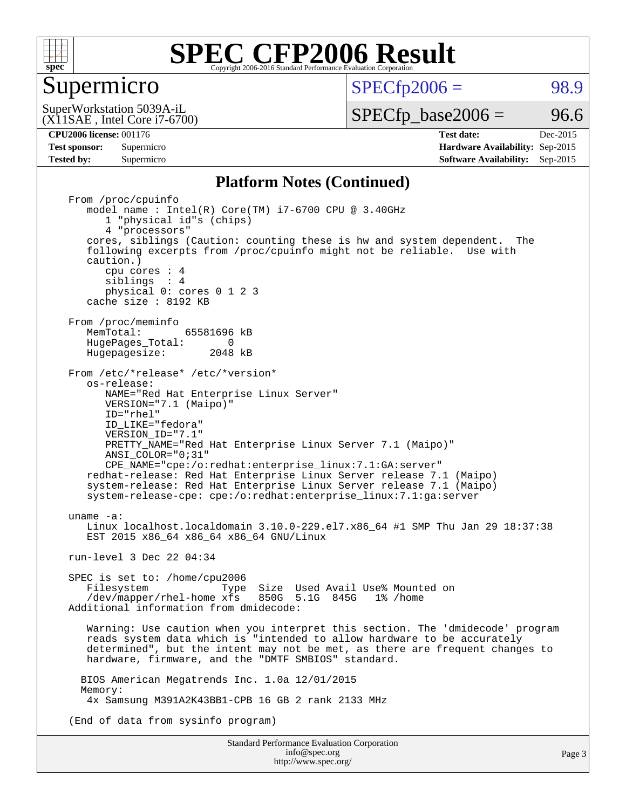

#### Supermicro

 $SPECTp2006 = 98.9$ 

(X11SAE , Intel Core i7-6700) SuperWorkstation 5039A-iL

 $SPECTp\_base2006 = 96.6$ 

Page 3

**[Tested by:](http://www.spec.org/auto/cpu2006/Docs/result-fields.html#Testedby)** Supermicro **Supermicro [Software Availability:](http://www.spec.org/auto/cpu2006/Docs/result-fields.html#SoftwareAvailability)** Sep-2015

**[CPU2006 license:](http://www.spec.org/auto/cpu2006/Docs/result-fields.html#CPU2006license)** 001176 **[Test date:](http://www.spec.org/auto/cpu2006/Docs/result-fields.html#Testdate)** Dec-2015 **[Test sponsor:](http://www.spec.org/auto/cpu2006/Docs/result-fields.html#Testsponsor)** Supermicro **[Hardware Availability:](http://www.spec.org/auto/cpu2006/Docs/result-fields.html#HardwareAvailability)** Sep-2015

#### **[Platform Notes \(Continued\)](http://www.spec.org/auto/cpu2006/Docs/result-fields.html#PlatformNotes)**

Standard Performance Evaluation Corporation From /proc/cpuinfo model name : Intel(R) Core(TM) i7-6700 CPU @ 3.40GHz 1 "physical id"s (chips) 4 "processors" cores, siblings (Caution: counting these is hw and system dependent. The following excerpts from /proc/cpuinfo might not be reliable. Use with caution.) cpu cores : 4 siblings : 4 physical 0: cores 0 1 2 3 cache size : 8192 KB From /proc/meminfo<br>MemTotal: 65581696 kB HugePages\_Total: 0<br>Hugepagesize: 2048 kB Hugepagesize: From /etc/\*release\* /etc/\*version\* os-release: NAME="Red Hat Enterprise Linux Server" VERSION="7.1 (Maipo)" ID="rhel" ID\_LIKE="fedora" VERSION\_ID="7.1" PRETTY NAME="Red Hat Enterprise Linux Server 7.1 (Maipo)" ANSI\_COLOR="0;31" CPE\_NAME="cpe:/o:redhat:enterprise\_linux:7.1:GA:server" redhat-release: Red Hat Enterprise Linux Server release 7.1 (Maipo) system-release: Red Hat Enterprise Linux Server release 7.1 (Maipo) system-release-cpe: cpe:/o:redhat:enterprise\_linux:7.1:ga:server uname -a: Linux localhost.localdomain 3.10.0-229.el7.x86\_64 #1 SMP Thu Jan 29 18:37:38 EST 2015 x86\_64 x86\_64 x86\_64 GNU/Linux run-level 3 Dec 22 04:34 SPEC is set to: /home/cpu2006<br>Filesystem Type Filesystem Type Size Used Avail Use% Mounted on /dev/mapper/rhel-home xfs 850G 5.1G 845G 1% /home Additional information from dmidecode: Warning: Use caution when you interpret this section. The 'dmidecode' program reads system data which is "intended to allow hardware to be accurately determined", but the intent may not be met, as there are frequent changes to hardware, firmware, and the "DMTF SMBIOS" standard. BIOS American Megatrends Inc. 1.0a 12/01/2015 Memory: 4x Samsung M391A2K43BB1-CPB 16 GB 2 rank 2133 MHz (End of data from sysinfo program)

> [info@spec.org](mailto:info@spec.org) <http://www.spec.org/>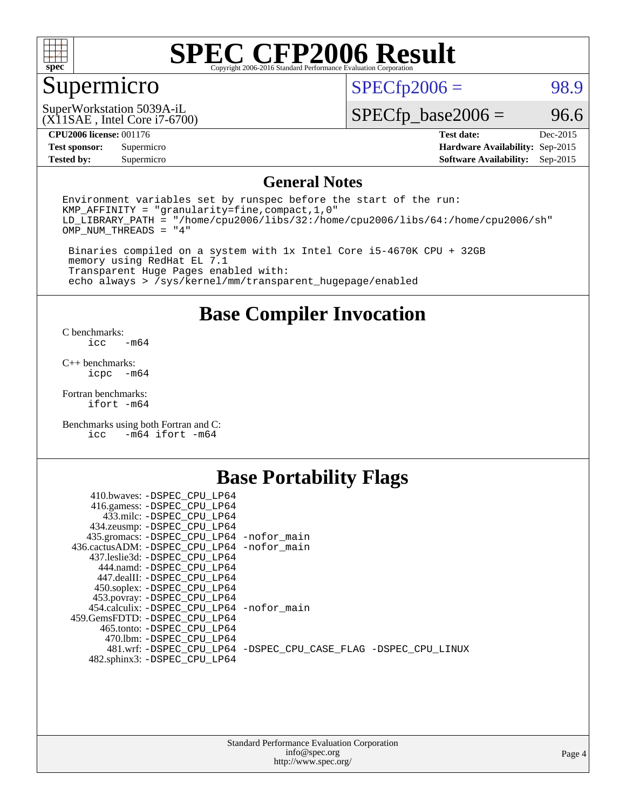

## Supermicro

 $SPECTp2006 = 98.9$ 

(X11SAE , Intel Core i7-6700) SuperWorkstation 5039A-iL

 $SPECfp\_base2006 = 96.6$ 

#### **[CPU2006 license:](http://www.spec.org/auto/cpu2006/Docs/result-fields.html#CPU2006license)** 001176 **[Test date:](http://www.spec.org/auto/cpu2006/Docs/result-fields.html#Testdate)** Dec-2015

**[Tested by:](http://www.spec.org/auto/cpu2006/Docs/result-fields.html#Testedby)** Supermicro **Supermicro [Software Availability:](http://www.spec.org/auto/cpu2006/Docs/result-fields.html#SoftwareAvailability)** Sep-2015

**[Test sponsor:](http://www.spec.org/auto/cpu2006/Docs/result-fields.html#Testsponsor)** Supermicro **[Hardware Availability:](http://www.spec.org/auto/cpu2006/Docs/result-fields.html#HardwareAvailability)** Sep-2015

#### **[General Notes](http://www.spec.org/auto/cpu2006/Docs/result-fields.html#GeneralNotes)**

Environment variables set by runspec before the start of the run: KMP\_AFFINITY = "granularity=fine,compact,1,0" LD\_LIBRARY\_PATH = "/home/cpu2006/libs/32:/home/cpu2006/libs/64:/home/cpu2006/sh" OMP\_NUM\_THREADS = "4"

 Binaries compiled on a system with 1x Intel Core i5-4670K CPU + 32GB memory using RedHat EL 7.1 Transparent Huge Pages enabled with: echo always > /sys/kernel/mm/transparent\_hugepage/enabled

#### **[Base Compiler Invocation](http://www.spec.org/auto/cpu2006/Docs/result-fields.html#BaseCompilerInvocation)**

[C benchmarks](http://www.spec.org/auto/cpu2006/Docs/result-fields.html#Cbenchmarks):  $-m64$ 

[C++ benchmarks:](http://www.spec.org/auto/cpu2006/Docs/result-fields.html#CXXbenchmarks) [icpc -m64](http://www.spec.org/cpu2006/results/res2016q1/cpu2006-20151223-38522.flags.html#user_CXXbase_intel_icpc_64bit_bedb90c1146cab66620883ef4f41a67e)

[Fortran benchmarks](http://www.spec.org/auto/cpu2006/Docs/result-fields.html#Fortranbenchmarks): [ifort -m64](http://www.spec.org/cpu2006/results/res2016q1/cpu2006-20151223-38522.flags.html#user_FCbase_intel_ifort_64bit_ee9d0fb25645d0210d97eb0527dcc06e)

[Benchmarks using both Fortran and C](http://www.spec.org/auto/cpu2006/Docs/result-fields.html#BenchmarksusingbothFortranandC): [icc -m64](http://www.spec.org/cpu2006/results/res2016q1/cpu2006-20151223-38522.flags.html#user_CC_FCbase_intel_icc_64bit_0b7121f5ab7cfabee23d88897260401c) [ifort -m64](http://www.spec.org/cpu2006/results/res2016q1/cpu2006-20151223-38522.flags.html#user_CC_FCbase_intel_ifort_64bit_ee9d0fb25645d0210d97eb0527dcc06e)

### **[Base Portability Flags](http://www.spec.org/auto/cpu2006/Docs/result-fields.html#BasePortabilityFlags)**

| 410.bwaves: -DSPEC CPU LP64                 |                                                                |
|---------------------------------------------|----------------------------------------------------------------|
| 416.gamess: -DSPEC_CPU_LP64                 |                                                                |
| 433.milc: -DSPEC CPU LP64                   |                                                                |
| 434.zeusmp: -DSPEC_CPU_LP64                 |                                                                |
| 435.gromacs: -DSPEC_CPU_LP64 -nofor_main    |                                                                |
| 436.cactusADM: -DSPEC CPU LP64 -nofor main  |                                                                |
| 437.leslie3d: -DSPEC CPU LP64               |                                                                |
| 444.namd: -DSPEC CPU LP64                   |                                                                |
| 447.dealII: -DSPEC CPU LP64                 |                                                                |
| 450.soplex: -DSPEC_CPU_LP64                 |                                                                |
| 453.povray: -DSPEC_CPU_LP64                 |                                                                |
| 454.calculix: - DSPEC CPU LP64 - nofor main |                                                                |
| 459. GemsFDTD: - DSPEC CPU LP64             |                                                                |
| 465.tonto: - DSPEC CPU LP64                 |                                                                |
| 470.1bm: - DSPEC CPU LP64                   |                                                                |
|                                             | 481.wrf: -DSPEC_CPU_LP64 -DSPEC_CPU_CASE_FLAG -DSPEC_CPU_LINUX |
| 482.sphinx3: -DSPEC_CPU_LP64                |                                                                |
|                                             |                                                                |

| <b>Standard Performance Evaluation Corporation</b> |
|----------------------------------------------------|
| info@spec.org                                      |
| http://www.spec.org/                               |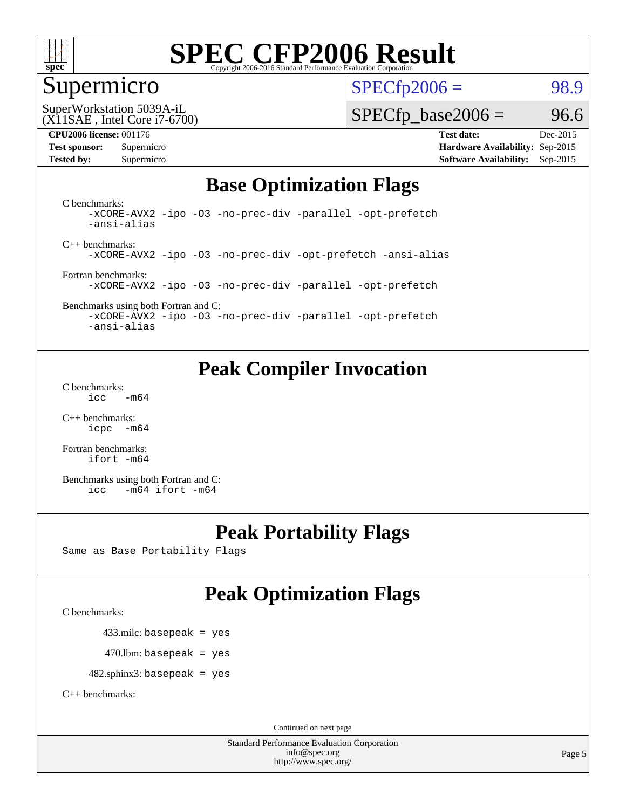

#### Supermicro

 $SPECTp2006 = 98.9$ 

(X11SAE , Intel Core i7-6700) SuperWorkstation 5039A-iL

#### **[CPU2006 license:](http://www.spec.org/auto/cpu2006/Docs/result-fields.html#CPU2006license)** 001176 **[Test date:](http://www.spec.org/auto/cpu2006/Docs/result-fields.html#Testdate)** Dec-2015

 $SPECTp\_base2006 = 96.6$ 

**[Test sponsor:](http://www.spec.org/auto/cpu2006/Docs/result-fields.html#Testsponsor)** Supermicro **[Hardware Availability:](http://www.spec.org/auto/cpu2006/Docs/result-fields.html#HardwareAvailability)** Sep-2015 **[Tested by:](http://www.spec.org/auto/cpu2006/Docs/result-fields.html#Testedby)** Supermicro **Supermicro [Software Availability:](http://www.spec.org/auto/cpu2006/Docs/result-fields.html#SoftwareAvailability)** Sep-2015

### **[Base Optimization Flags](http://www.spec.org/auto/cpu2006/Docs/result-fields.html#BaseOptimizationFlags)**

[C benchmarks](http://www.spec.org/auto/cpu2006/Docs/result-fields.html#Cbenchmarks): [-xCORE-AVX2](http://www.spec.org/cpu2006/results/res2016q1/cpu2006-20151223-38522.flags.html#user_CCbase_f-xAVX2_5f5fc0cbe2c9f62c816d3e45806c70d7) [-ipo](http://www.spec.org/cpu2006/results/res2016q1/cpu2006-20151223-38522.flags.html#user_CCbase_f-ipo) [-O3](http://www.spec.org/cpu2006/results/res2016q1/cpu2006-20151223-38522.flags.html#user_CCbase_f-O3) [-no-prec-div](http://www.spec.org/cpu2006/results/res2016q1/cpu2006-20151223-38522.flags.html#user_CCbase_f-no-prec-div) [-parallel](http://www.spec.org/cpu2006/results/res2016q1/cpu2006-20151223-38522.flags.html#user_CCbase_f-parallel) [-opt-prefetch](http://www.spec.org/cpu2006/results/res2016q1/cpu2006-20151223-38522.flags.html#user_CCbase_f-opt-prefetch) [-ansi-alias](http://www.spec.org/cpu2006/results/res2016q1/cpu2006-20151223-38522.flags.html#user_CCbase_f-ansi-alias)

[C++ benchmarks:](http://www.spec.org/auto/cpu2006/Docs/result-fields.html#CXXbenchmarks) [-xCORE-AVX2](http://www.spec.org/cpu2006/results/res2016q1/cpu2006-20151223-38522.flags.html#user_CXXbase_f-xAVX2_5f5fc0cbe2c9f62c816d3e45806c70d7) [-ipo](http://www.spec.org/cpu2006/results/res2016q1/cpu2006-20151223-38522.flags.html#user_CXXbase_f-ipo) [-O3](http://www.spec.org/cpu2006/results/res2016q1/cpu2006-20151223-38522.flags.html#user_CXXbase_f-O3) [-no-prec-div](http://www.spec.org/cpu2006/results/res2016q1/cpu2006-20151223-38522.flags.html#user_CXXbase_f-no-prec-div) [-opt-prefetch](http://www.spec.org/cpu2006/results/res2016q1/cpu2006-20151223-38522.flags.html#user_CXXbase_f-opt-prefetch) [-ansi-alias](http://www.spec.org/cpu2006/results/res2016q1/cpu2006-20151223-38522.flags.html#user_CXXbase_f-ansi-alias)

[Fortran benchmarks](http://www.spec.org/auto/cpu2006/Docs/result-fields.html#Fortranbenchmarks): [-xCORE-AVX2](http://www.spec.org/cpu2006/results/res2016q1/cpu2006-20151223-38522.flags.html#user_FCbase_f-xAVX2_5f5fc0cbe2c9f62c816d3e45806c70d7) [-ipo](http://www.spec.org/cpu2006/results/res2016q1/cpu2006-20151223-38522.flags.html#user_FCbase_f-ipo) [-O3](http://www.spec.org/cpu2006/results/res2016q1/cpu2006-20151223-38522.flags.html#user_FCbase_f-O3) [-no-prec-div](http://www.spec.org/cpu2006/results/res2016q1/cpu2006-20151223-38522.flags.html#user_FCbase_f-no-prec-div) [-parallel](http://www.spec.org/cpu2006/results/res2016q1/cpu2006-20151223-38522.flags.html#user_FCbase_f-parallel) [-opt-prefetch](http://www.spec.org/cpu2006/results/res2016q1/cpu2006-20151223-38522.flags.html#user_FCbase_f-opt-prefetch)

[Benchmarks using both Fortran and C](http://www.spec.org/auto/cpu2006/Docs/result-fields.html#BenchmarksusingbothFortranandC): [-xCORE-AVX2](http://www.spec.org/cpu2006/results/res2016q1/cpu2006-20151223-38522.flags.html#user_CC_FCbase_f-xAVX2_5f5fc0cbe2c9f62c816d3e45806c70d7) [-ipo](http://www.spec.org/cpu2006/results/res2016q1/cpu2006-20151223-38522.flags.html#user_CC_FCbase_f-ipo) [-O3](http://www.spec.org/cpu2006/results/res2016q1/cpu2006-20151223-38522.flags.html#user_CC_FCbase_f-O3) [-no-prec-div](http://www.spec.org/cpu2006/results/res2016q1/cpu2006-20151223-38522.flags.html#user_CC_FCbase_f-no-prec-div) [-parallel](http://www.spec.org/cpu2006/results/res2016q1/cpu2006-20151223-38522.flags.html#user_CC_FCbase_f-parallel) [-opt-prefetch](http://www.spec.org/cpu2006/results/res2016q1/cpu2006-20151223-38522.flags.html#user_CC_FCbase_f-opt-prefetch)

[-ansi-alias](http://www.spec.org/cpu2006/results/res2016q1/cpu2006-20151223-38522.flags.html#user_CC_FCbase_f-ansi-alias)

## **[Peak Compiler Invocation](http://www.spec.org/auto/cpu2006/Docs/result-fields.html#PeakCompilerInvocation)**

[C benchmarks](http://www.spec.org/auto/cpu2006/Docs/result-fields.html#Cbenchmarks):  $\text{icc}$   $-\text{m64}$ 

[C++ benchmarks:](http://www.spec.org/auto/cpu2006/Docs/result-fields.html#CXXbenchmarks) [icpc -m64](http://www.spec.org/cpu2006/results/res2016q1/cpu2006-20151223-38522.flags.html#user_CXXpeak_intel_icpc_64bit_bedb90c1146cab66620883ef4f41a67e)

[Fortran benchmarks](http://www.spec.org/auto/cpu2006/Docs/result-fields.html#Fortranbenchmarks): [ifort -m64](http://www.spec.org/cpu2006/results/res2016q1/cpu2006-20151223-38522.flags.html#user_FCpeak_intel_ifort_64bit_ee9d0fb25645d0210d97eb0527dcc06e)

[Benchmarks using both Fortran and C](http://www.spec.org/auto/cpu2006/Docs/result-fields.html#BenchmarksusingbothFortranandC): [icc -m64](http://www.spec.org/cpu2006/results/res2016q1/cpu2006-20151223-38522.flags.html#user_CC_FCpeak_intel_icc_64bit_0b7121f5ab7cfabee23d88897260401c) [ifort -m64](http://www.spec.org/cpu2006/results/res2016q1/cpu2006-20151223-38522.flags.html#user_CC_FCpeak_intel_ifort_64bit_ee9d0fb25645d0210d97eb0527dcc06e)

## **[Peak Portability Flags](http://www.spec.org/auto/cpu2006/Docs/result-fields.html#PeakPortabilityFlags)**

Same as Base Portability Flags

## **[Peak Optimization Flags](http://www.spec.org/auto/cpu2006/Docs/result-fields.html#PeakOptimizationFlags)**

[C benchmarks](http://www.spec.org/auto/cpu2006/Docs/result-fields.html#Cbenchmarks):

433.milc: basepeak = yes

 $470.$ lbm: basepeak = yes

482.sphinx3: basepeak = yes

[C++ benchmarks:](http://www.spec.org/auto/cpu2006/Docs/result-fields.html#CXXbenchmarks)

Continued on next page

Standard Performance Evaluation Corporation [info@spec.org](mailto:info@spec.org) <http://www.spec.org/>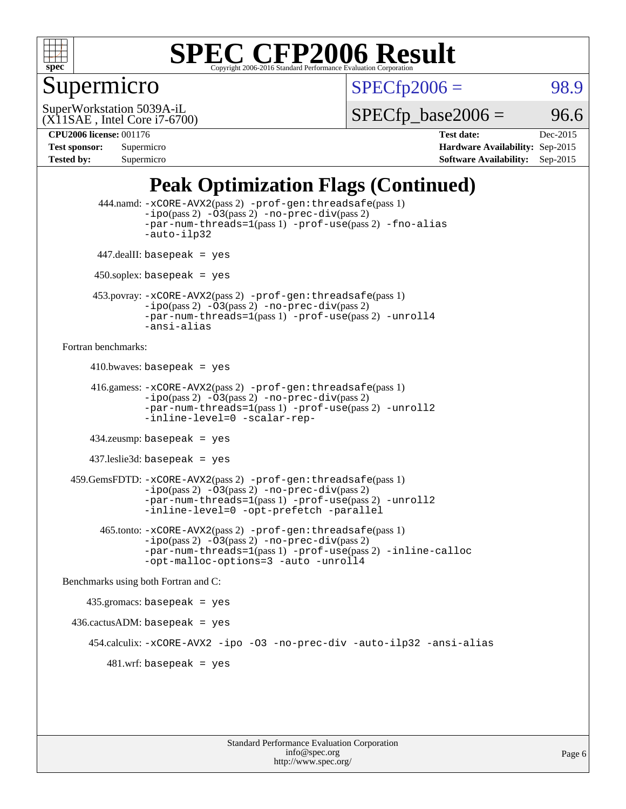

### Supermicro

 $SPECTp2006 = 98.9$ 

(X11SAE , Intel Core i7-6700) SuperWorkstation 5039A-iL

 $SPECTp\_base2006 = 96.6$ 

**[CPU2006 license:](http://www.spec.org/auto/cpu2006/Docs/result-fields.html#CPU2006license)** 001176 **[Test date:](http://www.spec.org/auto/cpu2006/Docs/result-fields.html#Testdate)** Dec-2015 **[Test sponsor:](http://www.spec.org/auto/cpu2006/Docs/result-fields.html#Testsponsor)** Supermicro **[Hardware Availability:](http://www.spec.org/auto/cpu2006/Docs/result-fields.html#HardwareAvailability)** Sep-2015 **[Tested by:](http://www.spec.org/auto/cpu2006/Docs/result-fields.html#Testedby)** Supermicro **Supermicro [Software Availability:](http://www.spec.org/auto/cpu2006/Docs/result-fields.html#SoftwareAvailability)** Sep-2015

## **[Peak Optimization Flags \(Continued\)](http://www.spec.org/auto/cpu2006/Docs/result-fields.html#PeakOptimizationFlags)**

```
 444.namd: -xCORE-AVX2(pass 2) -prof-gen:threadsafe(pass 1)
               -ipo(pass 2) -03(pass 2) -no-prec-div(pass 2)
               -par-num-threads=1(pass 1) -prof-use(pass 2) -fno-alias
               -auto-ilp32
      447.dealII: basepeak = yes
      450.soplex: basepeak = yes
      453.povray: -xCORE-AVX2(pass 2) -prof-gen:threadsafe(pass 1)
               -no-prec-div(pass 2)-par-num-threads=1(pass 1) -prof-use(pass 2) -unroll4
               -ansi-alias
Fortran benchmarks: 
     410.bwaves: basepeak = yes 416.gamess: -xCORE-AVX2(pass 2) -prof-gen:threadsafe(pass 1)
               -ipo(pass 2) -03(pass 2) -no-prec-div(pass 2)-par-num-threads=1(pass 1) -prof-use(pass 2) -unroll2
               -inline-level=0 -scalar-rep-
      434.zeusmp: basepeak = yes
     437.leslie3d: basepeak = yes
  459.GemsFDTD: -xCORE-AVX2(pass 2) -prof-gen:threadsafe(pass 1)
               -i\text{po}(pass 2) -\tilde{O}3(pass 2)-no-prec-div(pass 2)
               -par-num-threads=1(pass 1) -prof-use(pass 2) -unroll2
               -inline-level=0 -opt-prefetch -parallel
        465.tonto: -xCORE-AVX2(pass 2) -prof-gen:threadsafe(pass 1)
               -no-prec-div(pass 2)-par-num-threads=1(pass 1) -prof-use(pass 2) -inline-calloc
               -opt-malloc-options=3 -auto -unroll4
Benchmarks using both Fortran and C: 
     435.gromacs: basepeak = yes
 436.cactusADM:basepeak = yes 454.calculix: -xCORE-AVX2 -ipo -O3 -no-prec-div -auto-ilp32 -ansi-alias
        481 \text{.m}: basepeak = yes
```